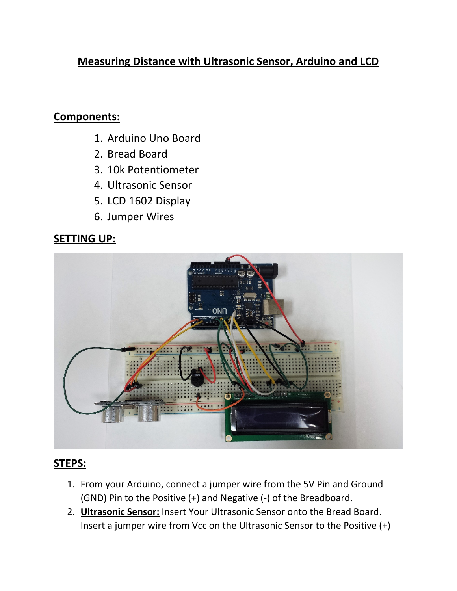# **Measuring Distance with Ultrasonic Sensor, Arduino and LCD**

#### **Components:**

- 1. Arduino Uno Board
- 2. Bread Board
- 3. 10k Potentiometer
- 4. Ultrasonic Sensor
- 5. LCD 1602 Display
- 6. Jumper Wires

### **SETTING UP:**



## **STEPS:**

- 1. From your Arduino, connect a jumper wire from the 5V Pin and Ground (GND) Pin to the Positive (+) and Negative (-) of the Breadboard.
- 2. **Ultrasonic Sensor:** Insert Your Ultrasonic Sensor onto the Bread Board. Insert a jumper wire from Vcc on the Ultrasonic Sensor to the Positive (+)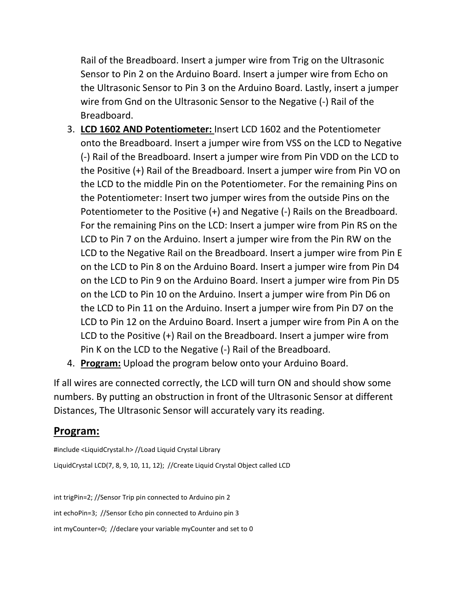Rail of the Breadboard. Insert a jumper wire from Trig on the Ultrasonic Sensor to Pin 2 on the Arduino Board. Insert a jumper wire from Echo on the Ultrasonic Sensor to Pin 3 on the Arduino Board. Lastly, insert a jumper wire from Gnd on the Ultrasonic Sensor to the Negative (-) Rail of the Breadboard.

- 3. **LCD 1602 AND Potentiometer:** Insert LCD 1602 and the Potentiometer onto the Breadboard. Insert a jumper wire from VSS on the LCD to Negative (-) Rail of the Breadboard. Insert a jumper wire from Pin VDD on the LCD to the Positive (+) Rail of the Breadboard. Insert a jumper wire from Pin VO on the LCD to the middle Pin on the Potentiometer. For the remaining Pins on the Potentiometer: Insert two jumper wires from the outside Pins on the Potentiometer to the Positive (+) and Negative (-) Rails on the Breadboard. For the remaining Pins on the LCD: Insert a jumper wire from Pin RS on the LCD to Pin 7 on the Arduino. Insert a jumper wire from the Pin RW on the LCD to the Negative Rail on the Breadboard. Insert a jumper wire from Pin E on the LCD to Pin 8 on the Arduino Board. Insert a jumper wire from Pin D4 on the LCD to Pin 9 on the Arduino Board. Insert a jumper wire from Pin D5 on the LCD to Pin 10 on the Arduino. Insert a jumper wire from Pin D6 on the LCD to Pin 11 on the Arduino. Insert a jumper wire from Pin D7 on the LCD to Pin 12 on the Arduino Board. Insert a jumper wire from Pin A on the LCD to the Positive (+) Rail on the Breadboard. Insert a jumper wire from Pin K on the LCD to the Negative (-) Rail of the Breadboard.
- 4. **Program:** Upload the program below onto your Arduino Board.

If all wires are connected correctly, the LCD will turn ON and should show some numbers. By putting an obstruction in front of the Ultrasonic Sensor at different Distances, The Ultrasonic Sensor will accurately vary its reading.

#### **Program:**

#include <LiquidCrystal.h> //Load Liquid Crystal Library LiquidCrystal LCD(7, 8, 9, 10, 11, 12); //Create Liquid Crystal Object called LCD

int trigPin=2; //Sensor Trip pin connected to Arduino pin 2 int echoPin=3; //Sensor Echo pin connected to Arduino pin 3 int myCounter=0; //declare your variable myCounter and set to 0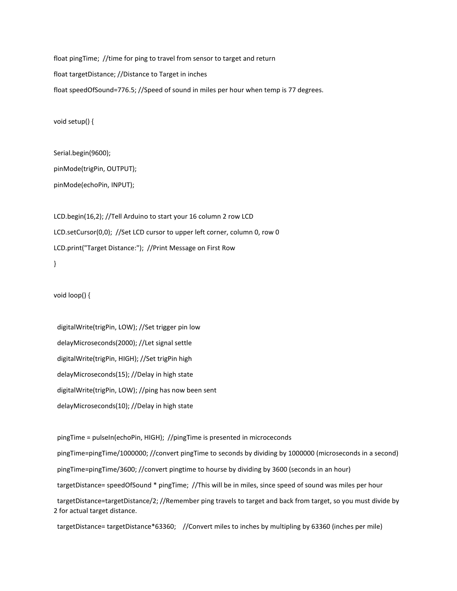float pingTime; //time for ping to travel from sensor to target and return float targetDistance; //Distance to Target in inches float speedOfSound=776.5; //Speed of sound in miles per hour when temp is 77 degrees.

void setup() {

Serial.begin(9600); pinMode(trigPin, OUTPUT); pinMode(echoPin, INPUT);

LCD.begin(16,2); //Tell Arduino to start your 16 column 2 row LCD LCD.setCursor(0,0); //Set LCD cursor to upper left corner, column 0, row 0 LCD.print("Target Distance:"); //Print Message on First Row }

void loop() {

 digitalWrite(trigPin, LOW); //Set trigger pin low delayMicroseconds(2000); //Let signal settle digitalWrite(trigPin, HIGH); //Set trigPin high delayMicroseconds(15); //Delay in high state digitalWrite(trigPin, LOW); //ping has now been sent delayMicroseconds(10); //Delay in high state

 pingTime = pulseIn(echoPin, HIGH); //pingTime is presented in microceconds pingTime=pingTime/1000000; //convert pingTime to seconds by dividing by 1000000 (microseconds in a second) pingTime=pingTime/3600; //convert pingtime to hourse by dividing by 3600 (seconds in an hour) targetDistance= speedOfSound \* pingTime; //This will be in miles, since speed of sound was miles per hour targetDistance=targetDistance/2; //Remember ping travels to target and back from target, so you must divide by 2 for actual target distance.

targetDistance= targetDistance\*63360; //Convert miles to inches by multipling by 63360 (inches per mile)